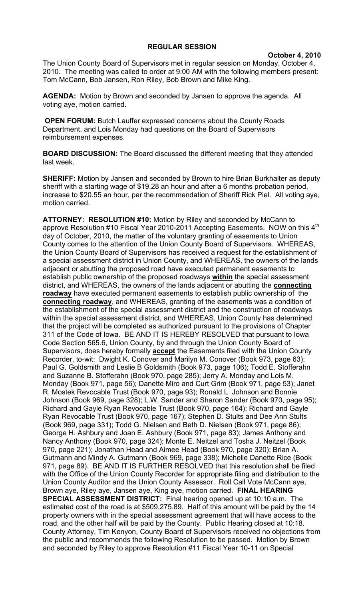## **REGULAR SESSION**

**October 4, 2010**

The Union County Board of Supervisors met in regular session on Monday, October 4, 2010. The meeting was called to order at 9:00 AM with the following members present: Tom McCann, Bob Jansen, Ron Riley, Bob Brown and Mike King.

**AGENDA:** Motion by Brown and seconded by Jansen to approve the agenda. All voting aye, motion carried.

**OPEN FORUM:** Butch Lauffer expressed concerns about the County Roads Department, and Lois Monday had questions on the Board of Supervisors reimbursement expenses.

**BOARD DISCUSSION:** The Board discussed the different meeting that they attended last week.

**SHERIFF:** Motion by Jansen and seconded by Brown to hire Brian Burkhalter as deputy sheriff with a starting wage of \$19.28 an hour and after a 6 months probation period, increase to \$20.55 an hour, per the recommendation of Sheriff Rick Piel. All voting aye, motion carried.

**ATTORNEY: RESOLUTION #10:** Motion by Riley and seconded by McCann to approve Resolution #10 Fiscal Year 2010-2011 Accepting Easements. NOW on this  $4<sup>th</sup>$ day of October, 2010, the matter of the voluntary granting of easements to Union County comes to the attention of the Union County Board of Supervisors. WHEREAS, the Union County Board of Supervisors has received a request for the establishment of a special assessment district in Union County, and WHEREAS, the owners of the lands adjacent or abutting the proposed road have executed permanent easements to establish public ownership of the proposed roadways **within** the special assessment district, and WHEREAS, the owners of the lands adjacent or abutting the **connecting roadway** have executed permanent easements to establish public ownership of the **connecting roadway**, and WHEREAS, granting of the easements was a condition of the establishment of the special assessment district and the construction of roadways within the special assessment district, and WHEREAS, Union County has determined that the project will be completed as authorized pursuant to the provisions of Chapter 311 of the Code of Iowa. BE AND IT IS HEREBY RESOLVED that pursuant to Iowa Code Section 565.6, Union County, by and through the Union County Board of Supervisors, does hereby formally **accept** the Easements filed with the Union County Recorder, to-wit: Dwight K. Conover and Marilyn M. Conover (Book 973, page 63); Paul G. Goldsmith and Leslie B Goldsmith (Book 973, page 106); Todd E. Stofferahn and Suzanne B. Stofferahn (Book 970, page 285); Jerry A. Monday and Lois M. Monday (Book 971, page 56); Danette Miro and Curt Grim (Book 971, page 53); Janet R. Mostek Revocable Trust (Book 970, page 93); Ronald L. Johnson and Bonnie Johnson (Book 969, page 328); L.W. Sander and Sharon Sander (Book 970, page 95); Richard and Gayle Ryan Revocable Trust (Book 970, page 164); Richard and Gayle Ryan Revocable Trust (Book 970, page 167); Stephen D. Stults and Dee Ann Stults (Book 969, page 331); Todd G. Nielsen and Beth D. Nielsen (Book 971, page 86); George H. Ashbury and Joan E. Ashbury (Book 971, page 83); James Anthony and Nancy Anthony (Book 970, page 324); Monte E. Neitzel and Tosha J. Neitzel (Book 970, page 221); Jonathan Head and Aimee Head (Book 970, page 320); Brian A. Gutmann and Mindy A. Gutmann (Book 969, page 338); Michelle Danette Rice (Book 971, page 89). BE AND IT IS FURTHER RESOLVED that this resolution shall be filed with the Office of the Union County Recorder for appropriate filing and distribution to the Union County Auditor and the Union County Assessor. Roll Call Vote McCann aye, Brown aye, Riley aye, Jansen aye, King aye, motion carried. **FINAL HEARING SPECIAL ASSESSMENT DISTRICT:** Final hearing opened up at 10:10 a.m. The estimated cost of the road is at \$509,275.89. Half of this amount will be paid by the 14 property owners with in the special assessment agreement that will have access to the road, and the other half will be paid by the County. Public Hearing closed at 10:18. County Attorney, Tim Kenyon, County Board of Supervisors received no objections from the public and recommends the following Resolution to be passed. Motion by Brown and seconded by Riley to approve Resolution #11 Fiscal Year 10-11 on Special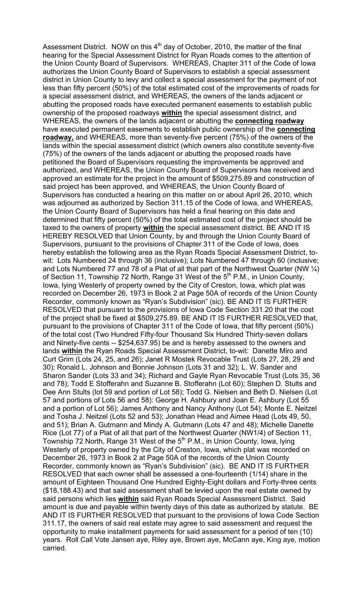Assessment District. NOW on this  $4<sup>th</sup>$  day of October, 2010, the matter of the final hearing for the Special Assessment District for Ryan Roads comes to the attention of the Union County Board of Supervisors. WHEREAS, Chapter 311 of the Code of Iowa authorizes the Union County Board of Supervisors to establish a special assessment district in Union County to levy and collect a special assessment for the payment of not less than fifty percent (50%) of the total estimated cost of the improvements of roads for a special assessment district, and WHEREAS, the owners of the lands adjacent or abutting the proposed roads have executed permanent easements to establish public ownership of the proposed roadways **within** the special assessment district, and WHEREAS, the owners of the lands adjacent or abutting the **connecting roadway** have executed permanent easements to establish public ownership of the **connecting roadway,** and WHEREAS, more than seventy-five percent (75%) of the owners of the lands within the special assessment district (which owners also constitute seventy-five (75%) of the owners of the lands adjacent or abutting the proposed roads have petitioned the Board of Supervisors requesting the improvements be approved and authorized, and WHEREAS, the Union County Board of Supervisors has received and approved an estimate for the project in the amount of \$509,275.89 and construction of said project has been approved, and WHEREAS, the Union County Board of Supervisors has conducted a hearing on this matter on or about April 26, 2010, which was adjourned as authorized by Section 311.15 of the Code of Iowa, and WHEREAS, the Union County Board of Supervisors has held a final hearing on this date and determined that fifty percent (50%) of the total estimated cost of the project should be taxed to the owners of property **within** the special assessment district. BE AND IT IS HEREBY RESOLVED that Union County, by and through the Union County Board of Supervisors, pursuant to the provisions of Chapter 311 of the Code of Iowa, does hereby establish the following area as the Ryan Roads Special Assessment District, towit: Lots Numbered 24 through 36 (inclusive); Lots Numbered 47 through 60 (inclusive; and Lots Numbered 77 and 78 of a Plat of all that part of the Northwest Quarter (NW  $\frac{1}{4}$ ) of Section 11, Township 72 North, Range 31 West of the  $5<sup>th</sup>$  P.M., in Union County, Iowa, lying Westerly of property owned by the City of Creston, Iowa, which plat was recorded on December 26, 1973 in Book 2 at Page 50A of records of the Union County Recorder, commonly known as "Ryan's Subdivision" (sic). BE AND IT IS FURTHER RESOLVED that pursuant to the provisions of Iowa Code Section 331.20 that the cost of the project shall be fixed at \$509,275.89. BE AND IT IS FURTHER RESOLVED that, pursuant to the provisions of Chapter 311 of the Code of Iowa, that fifty percent (50%) of the total cost (Two Hundred Fifty-four Thousand Six Hundred Thirty-seven dollars and Ninety-five cents -- \$254,637.95) be and is hereby assessed to the owners and lands **within** the Ryan Roads Special Assessment District, to-wit: Danette Miro and Curt Grim (Lots 24, 25, and 26); Janet R Mostek Revocable Trust (Lots 27, 28, 29 and 30); Ronald L. Johnson and Bonnie Johnson (Lots 31 and 32); L. W. Sander and Sharon Sander (Lots 33 and 34); Richard and Gayle Ryan Revocable Trust (Lots 35, 36 and 78); Todd E Stofferahn and Suzanne B. Stofferahn (Lot 60); Stephen D. Stults and Dee Ann Stults (lot 59 and portion of Lot 58); Todd G. Nielsen and Beth D. Nielsen (Lot 57 and portions of Lots 56 and 58): George H. Ashbury and Joan E. Ashbury (Lot 55 and a portion of Lot 56); James Anthony and Nancy Anthony (Lot 54); Monte E. Neitzel and Tosha J. Neitzel (Lots 52 and 53); Jonathan Head and Aimee Head (Lots 49, 50, and 51); Brian A. Gutmann and Mindy A. Gutmann (Lots 47 and 48); Michelle Danette Rice (Lot 77) of a Plat of all that part of the Northwest Quarter (NW1/4) of Section 11, Township 72 North, Range 31 West of the  $5<sup>th</sup>$  P.M., in Union County, Iowa, lying Westerly of property owned by the City of Creston, Iowa, which plat was recorded on December 26, 1973 in Book 2 at Page 50A of the records of the Union County Recorder, commonly known as "Ryan's Subdivision" (sic). BE AND IT IS FURTHER RESOLVED that each owner shall be assessed a one-fourteenth (1/14) share in the amount of Eighteen Thousand One Hundred Eighty-Eight dollars and Forty-three cents (\$18,188.43) and that said assessment shall be levied upon the real estate owned by said persons which lies **within** said Ryan Roads Special Assessment District. Said amount is due and payable within twenty days of this date as authorized by statute. BE AND IT IS FURTHER RESOLVED that pursuant to the provisions of Iowa Code Section 311.17, the owners of said real estate may agree to said assessment and request the opportunity to make installment payments for said assessment for a period of ten (10) years. Roll Call Vote Jansen aye, Riley aye, Brown aye, McCann aye, King aye, motion carried.